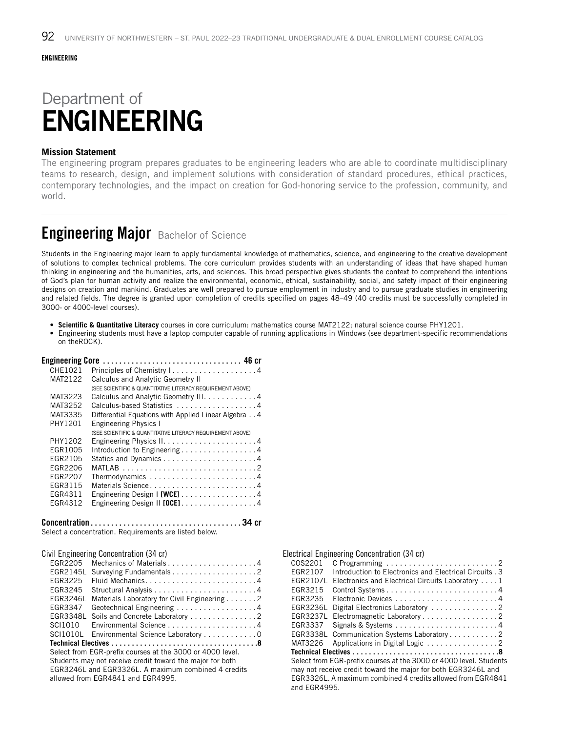#### ENGINEERING

# Department of ENGINEERING

### **Mission Statement**

The engineering program prepares graduates to be engineering leaders who are able to coordinate multidisciplinary teams to research, design, and implement solutions with consideration of standard procedures, ethical practices, contemporary technologies, and the impact on creation for God-honoring service to the profession, community, and world.

## **Engineering Major** Bachelor of Science

Students in the Engineering major learn to apply fundamental knowledge of mathematics, science, and engineering to the creative development of solutions to complex technical problems. The core curriculum provides students with an understanding of ideas that have shaped human thinking in engineering and the humanities, arts, and sciences. This broad perspective gives students the context to comprehend the intentions of God's plan for human activity and realize the environmental, economic, ethical, sustainability, social, and safety impact of their engineering designs on creation and mankind. Graduates are well prepared to pursue employment in industry and to pursue graduate studies in engineering and related fields. The degree is granted upon completion of credits specified on pages 48–49 (40 credits must be successfully completed in 3000- or 4000-level courses).

• **Scientific & Quantitative Literacy** courses in core curriculum: mathematics course MAT2122; natural science course PHY1201.

• Engineering students must have a laptop computer capable of running applications in Windows (see department-specific recommendations on theROCK).

| <b>Engineering Core</b> |                                                                    |
|-------------------------|--------------------------------------------------------------------|
| CHE1021                 |                                                                    |
| MAT2122                 | Calculus and Analytic Geometry II                                  |
|                         | (SEE SCIENTIFIC & QUANTITATIVE LITERACY REQUIREMENT ABOVE)         |
| MAT3223                 | Calculus and Analytic Geometry III. 4                              |
| MAT3252                 | Calculus-based Statistics 4                                        |
| MAT3335                 | Differential Equations with Applied Linear Algebra 4               |
| PHY1201                 | <b>Engineering Physics I</b>                                       |
|                         | (SEE SCIENTIFIC & QUANTITATIVE LITERACY REQUIREMENT ABOVE)         |
| PHY1202                 | Engineering Physics $1, \ldots, \ldots, \ldots, \ldots, \ldots, 4$ |
| EGR1005                 | Introduction to Engineering 4                                      |
| FGR2105                 |                                                                    |
| EGR2206                 |                                                                    |
| EGR2207                 |                                                                    |
| EGR3115                 | Materials Science4                                                 |
| EGR4311                 | Engineering Design I [WCE] 4                                       |
| EGR4312                 | Engineering Design II $[0CE]$ 4                                    |

Concentration. . **34** cr

Select a concentration. Requirements are listed below.

| OIVIT LIISIHUUTIIIS OOHUUTILIQLIUII (UT UI) |  |
|---------------------------------------------|--|
|                                             |  |
|                                             |  |
| EGR3225 Fluid Mechanics4                    |  |
|                                             |  |

Civil Engineering Concentration (34 cr)

| EGR3225                                                   | Fluid Mechanics4                                          |  |
|-----------------------------------------------------------|-----------------------------------------------------------|--|
| EGR3245                                                   |                                                           |  |
| EGR3246L                                                  | Materials Laboratory for Civil Engineering 2              |  |
| EGR3347                                                   | Geotechnical Engineering 4                                |  |
| EGR3348L                                                  | Soils and Concrete Laboratory 2                           |  |
| SCI1010                                                   |                                                           |  |
|                                                           | SCI1010L Environmental Science Laboratory 0               |  |
|                                                           |                                                           |  |
|                                                           | Select from EGR-prefix courses at the 3000 or 4000 level. |  |
| Students may not receive credit toward the major for both |                                                           |  |
| EGR3246L and EGR3326L. A maximum combined 4 credits       |                                                           |  |
| allowed from EGR4841 and EGR4995.                         |                                                           |  |

| Electrical Engineering Concentration (34 cr)                       |  |  |
|--------------------------------------------------------------------|--|--|
| COS2201                                                            |  |  |
| Introduction to Electronics and Electrical Circuits, 3<br>EGR2107  |  |  |
| FGR2107L<br>Electronics and Electrical Circuits Laboratory 1       |  |  |
| EGR3215                                                            |  |  |
| EGR3235                                                            |  |  |
| EGR3236L<br>Digital Electronics Laboratory 2                       |  |  |
| EGR3237L<br>Electromagnetic Laboratory 2                           |  |  |
| EGR3337                                                            |  |  |
| EGR3338L<br>Communication Systems Laboratory 2                     |  |  |
| MAT3226                                                            |  |  |
|                                                                    |  |  |
| Select from EGR-prefix courses at the 3000 or 4000 level. Students |  |  |
| may not receive credit toward the major for both EGR3246L and      |  |  |
| EGR3326L. A maximum combined 4 credits allowed from EGR4841        |  |  |
| and EGR4995.                                                       |  |  |